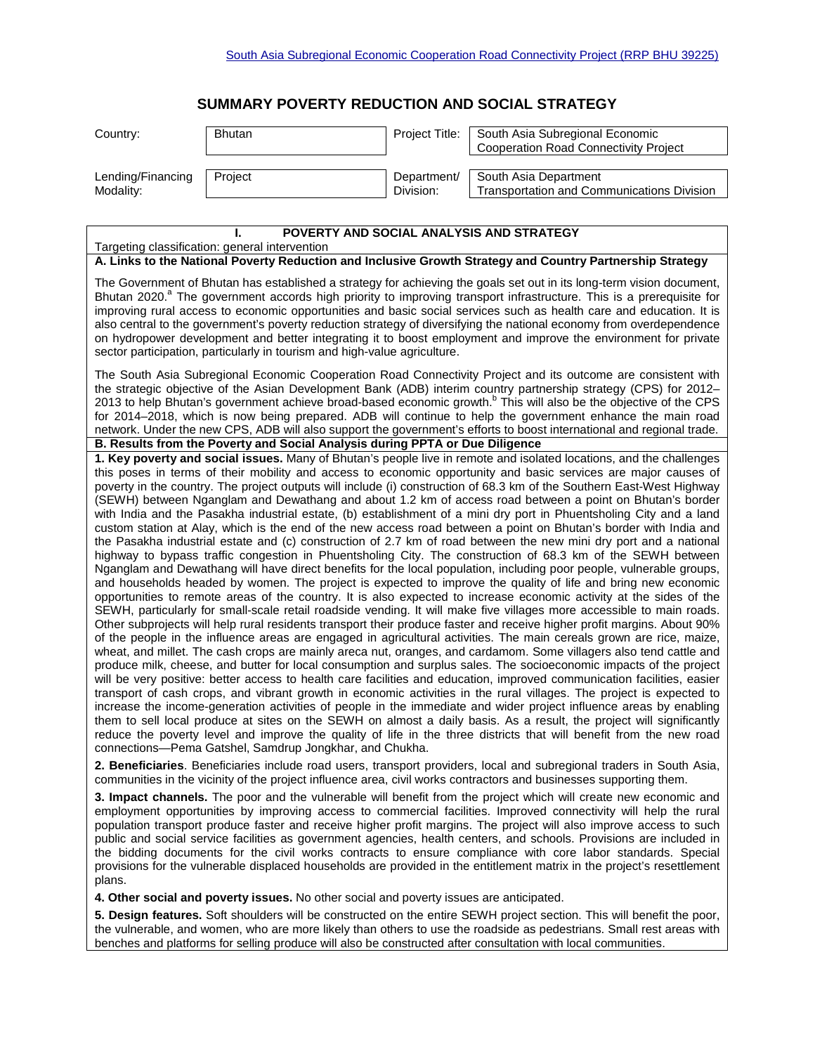## **SUMMARY POVERTY REDUCTION AND SOCIAL STRATEGY**

| Country:          | <b>Bhutan</b> | Project Title: | South Asia Subregional Economic<br><b>Cooperation Road Connectivity Project</b> |
|-------------------|---------------|----------------|---------------------------------------------------------------------------------|
| Lending/Financing | Project       | Department/    | South Asia Department                                                           |
| Modality:         |               | Division:      | Transportation and Communications Division                                      |

## **I. POVERTY AND SOCIAL ANALYSIS AND STRATEGY** Targeting classification: general intervention **A. Links to the National Poverty Reduction and Inclusive Growth Strategy and Country Partnership Strategy**  The Government of Bhutan has established a strategy for achieving the goals set out in its long-term vision document, Bhutan 2020.<sup>a</sup> The government accords high priority to improving transport infrastructure. This is a prerequisite for improving rural access to economic opportunities and basic social services such as health care and education. It is also central to the government's poverty reduction strategy of diversifying the national economy from overdependence on hydropower development and better integrating it to boost employment and improve the environment for private sector participation, particularly in tourism and high-value agriculture. The South Asia Subregional Economic Cooperation Road Connectivity Project and its outcome are consistent with the strategic objective of the Asian Development Bank (ADB) interim country partnership strategy (CPS) for 2012– 2013 to help Bhutan's government achieve broad-based economic growth.<sup>b</sup> This will also be the objective of the CPS for 2014–2018, which is now being prepared. ADB will continue to help the government enhance the main road network. Under the new CPS, ADB will also support the government's efforts to boost international and regional trade. **B. Results from the Poverty and Social Analysis during PPTA or Due Diligence 1. Key poverty and social issues.** Many of Bhutan's people live in remote and isolated locations, and the challenges this poses in terms of their mobility and access to economic opportunity and basic services are major causes of poverty in the country. The project outputs will include (i) construction of 68.3 km of the Southern East-West Highway (SEWH) between Nganglam and Dewathang and about 1.2 km of access road between a point on Bhutan's border with India and the Pasakha industrial estate, (b) establishment of a mini dry port in Phuentsholing City and a land custom station at Alay, which is the end of the new access road between a point on Bhutan's border with India and the Pasakha industrial estate and (c) construction of 2.7 km of road between the new mini dry port and a national highway to bypass traffic congestion in Phuentsholing City. The construction of 68.3 km of the SEWH between Nganglam and Dewathang will have direct benefits for the local population, including poor people, vulnerable groups, and households headed by women. The project is expected to improve the quality of life and bring new economic opportunities to remote areas of the country. It is also expected to increase economic activity at the sides of the SEWH, particularly for small-scale retail roadside vending. It will make five villages more accessible to main roads. Other subprojects will help rural residents transport their produce faster and receive higher profit margins. About 90% of the people in the influence areas are engaged in agricultural activities. The main cereals grown are rice, maize, wheat, and millet. The cash crops are mainly areca nut, oranges, and cardamom. Some villagers also tend cattle and produce milk, cheese, and butter for local consumption and surplus sales. The socioeconomic impacts of the project will be very positive: better access to health care facilities and education, improved communication facilities, easier transport of cash crops, and vibrant growth in economic activities in the rural villages. The project is expected to increase the income-generation activities of people in the immediate and wider project influence areas by enabling them to sell local produce at sites on the SEWH on almost a daily basis. As a result, the project will significantly reduce the poverty level and improve the quality of life in the three districts that will benefit from the new road connections—Pema Gatshel, Samdrup Jongkhar, and Chukha. **2. Beneficiaries**. Beneficiaries include road users, transport providers, local and subregional traders in South Asia,

communities in the vicinity of the project influence area, civil works contractors and businesses supporting them.

**3. Impact channels.** The poor and the vulnerable will benefit from the project which will create new economic and employment opportunities by improving access to commercial facilities. Improved connectivity will help the rural population transport produce faster and receive higher profit margins. The project will also improve access to such public and social service facilities as government agencies, health centers, and schools. Provisions are included in the bidding documents for the civil works contracts to ensure compliance with core labor standards. Special provisions for the vulnerable displaced households are provided in the entitlement matrix in the project's resettlement plans.

**4. Other social and poverty issues.** No other social and poverty issues are anticipated.

**5. Design features.** Soft shoulders will be constructed on the entire SEWH project section. This will benefit the poor, the vulnerable, and women, who are more likely than others to use the roadside as pedestrians. Small rest areas with benches and platforms for selling produce will also be constructed after consultation with local communities.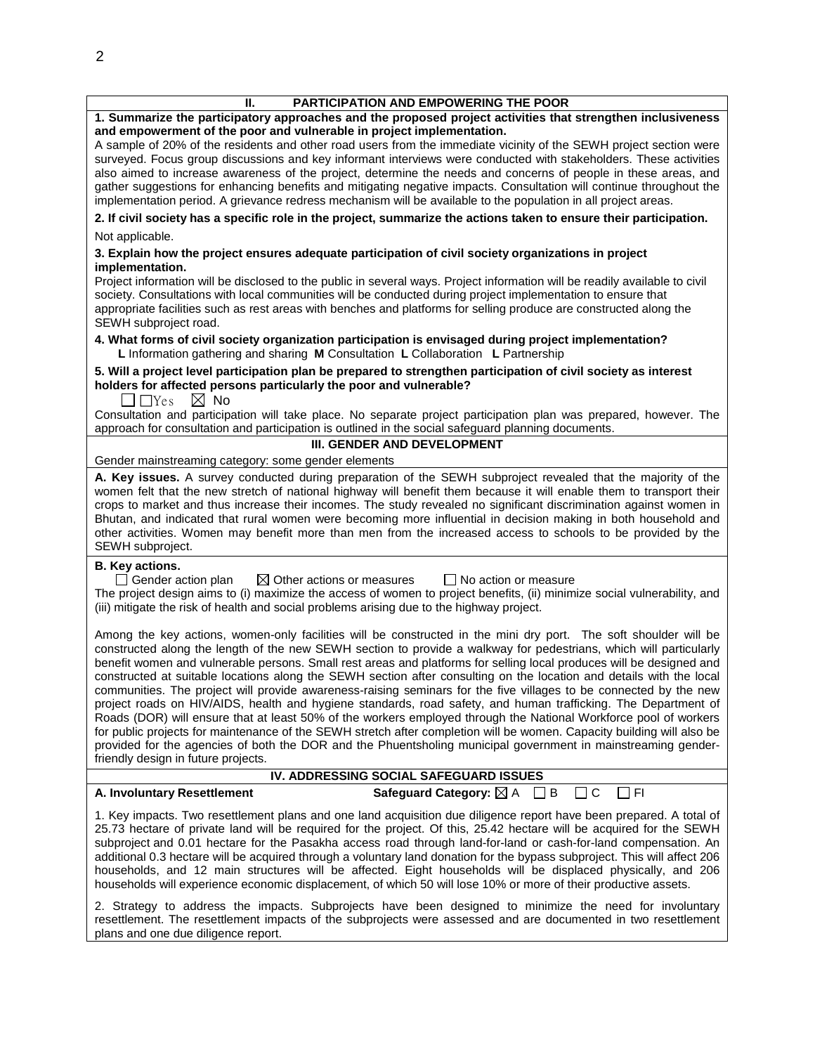| PARTICIPATION AND EMPOWERING THE POOR<br>Н.                                                                                                                                                                                              |  |  |  |  |
|------------------------------------------------------------------------------------------------------------------------------------------------------------------------------------------------------------------------------------------|--|--|--|--|
| 1. Summarize the participatory approaches and the proposed project activities that strengthen inclusiveness                                                                                                                              |  |  |  |  |
| and empowerment of the poor and vulnerable in project implementation.                                                                                                                                                                    |  |  |  |  |
| A sample of 20% of the residents and other road users from the immediate vicinity of the SEWH project section were                                                                                                                       |  |  |  |  |
| surveyed. Focus group discussions and key informant interviews were conducted with stakeholders. These activities                                                                                                                        |  |  |  |  |
| also aimed to increase awareness of the project, determine the needs and concerns of people in these areas, and                                                                                                                          |  |  |  |  |
| gather suggestions for enhancing benefits and mitigating negative impacts. Consultation will continue throughout the                                                                                                                     |  |  |  |  |
| implementation period. A grievance redress mechanism will be available to the population in all project areas.                                                                                                                           |  |  |  |  |
| 2. If civil society has a specific role in the project, summarize the actions taken to ensure their participation.                                                                                                                       |  |  |  |  |
| Not applicable.                                                                                                                                                                                                                          |  |  |  |  |
| 3. Explain how the project ensures adequate participation of civil society organizations in project                                                                                                                                      |  |  |  |  |
| implementation.                                                                                                                                                                                                                          |  |  |  |  |
| Project information will be disclosed to the public in several ways. Project information will be readily available to civil                                                                                                              |  |  |  |  |
| society. Consultations with local communities will be conducted during project implementation to ensure that                                                                                                                             |  |  |  |  |
| appropriate facilities such as rest areas with benches and platforms for selling produce are constructed along the                                                                                                                       |  |  |  |  |
| SEWH subproject road.                                                                                                                                                                                                                    |  |  |  |  |
| 4. What forms of civil society organization participation is envisaged during project implementation?<br>L Information gathering and sharing M Consultation L Collaboration L Partnership                                                |  |  |  |  |
| 5. Will a project level participation plan be prepared to strengthen participation of civil society as interest                                                                                                                          |  |  |  |  |
| holders for affected persons particularly the poor and vulnerable?<br>$\Box$ $\Box$ Yes<br>$\boxtimes$ No                                                                                                                                |  |  |  |  |
| Consultation and participation will take place. No separate project participation plan was prepared, however. The                                                                                                                        |  |  |  |  |
| approach for consultation and participation is outlined in the social safeguard planning documents.                                                                                                                                      |  |  |  |  |
| III. GENDER AND DEVELOPMENT                                                                                                                                                                                                              |  |  |  |  |
| Gender mainstreaming category: some gender elements                                                                                                                                                                                      |  |  |  |  |
| A. Key issues. A survey conducted during preparation of the SEWH subproject revealed that the majority of the                                                                                                                            |  |  |  |  |
| women felt that the new stretch of national highway will benefit them because it will enable them to transport their                                                                                                                     |  |  |  |  |
| crops to market and thus increase their incomes. The study revealed no significant discrimination against women in                                                                                                                       |  |  |  |  |
| Bhutan, and indicated that rural women were becoming more influential in decision making in both household and                                                                                                                           |  |  |  |  |
| other activities. Women may benefit more than men from the increased access to schools to be provided by the                                                                                                                             |  |  |  |  |
| SEWH subproject.                                                                                                                                                                                                                         |  |  |  |  |
| <b>B. Key actions.</b>                                                                                                                                                                                                                   |  |  |  |  |
| $\Box$ Gender action plan<br>$\boxtimes$ Other actions or measures<br>$\Box$ No action or measure                                                                                                                                        |  |  |  |  |
| The project design aims to (i) maximize the access of women to project benefits, (ii) minimize social vulnerability, and<br>(iii) mitigate the risk of health and social problems arising due to the highway project.                    |  |  |  |  |
|                                                                                                                                                                                                                                          |  |  |  |  |
| Among the key actions, women-only facilities will be constructed in the mini dry port. The soft shoulder will be                                                                                                                         |  |  |  |  |
| constructed along the length of the new SEWH section to provide a walkway for pedestrians, which will particularly                                                                                                                       |  |  |  |  |
| benefit women and vulnerable persons. Small rest areas and platforms for selling local produces will be designed and                                                                                                                     |  |  |  |  |
| constructed at suitable locations along the SEWH section after consulting on the location and details with the local                                                                                                                     |  |  |  |  |
| communities. The project will provide awareness-raising seminars for the five villages to be connected by the new                                                                                                                        |  |  |  |  |
| project roads on HIV/AIDS, health and hygiene standards, road safety, and human trafficking. The Department of<br>Roads (DOR) will ensure that at least 50% of the workers employed through the National Workforce pool of workers       |  |  |  |  |
| for public projects for maintenance of the SEWH stretch after completion will be women. Capacity building will also be                                                                                                                   |  |  |  |  |
| provided for the agencies of both the DOR and the Phuentsholing municipal government in mainstreaming gender-                                                                                                                            |  |  |  |  |
| friendly design in future projects.                                                                                                                                                                                                      |  |  |  |  |
| IV. ADDRESSING SOCIAL SAFEGUARD ISSUES                                                                                                                                                                                                   |  |  |  |  |
| ] FI<br>A. Involuntary Resettlement<br>Safeguard Category: $\boxtimes$ A $\Box$ B<br>$\Box$ C                                                                                                                                            |  |  |  |  |
| 1. Key impacts. Two resettlement plans and one land acquisition due diligence report have been prepared. A total of                                                                                                                      |  |  |  |  |
| 25.73 hectare of private land will be required for the project. Of this, 25.42 hectare will be acquired for the SEWH                                                                                                                     |  |  |  |  |
| subproject and 0.01 hectare for the Pasakha access road through land-for-land or cash-for-land compensation. An                                                                                                                          |  |  |  |  |
| additional 0.3 hectare will be acquired through a voluntary land donation for the bypass subproject. This will affect 206<br>households, and 12 main structures will be affected. Eight households will be displaced physically, and 206 |  |  |  |  |
| households will experience economic displacement, of which 50 will lose 10% or more of their productive assets.                                                                                                                          |  |  |  |  |
|                                                                                                                                                                                                                                          |  |  |  |  |

2. Strategy to address the impacts. Subprojects have been designed to minimize the need for involuntary resettlement. The resettlement impacts of the subprojects were assessed and are documented in two resettlement plans and one due diligence report.